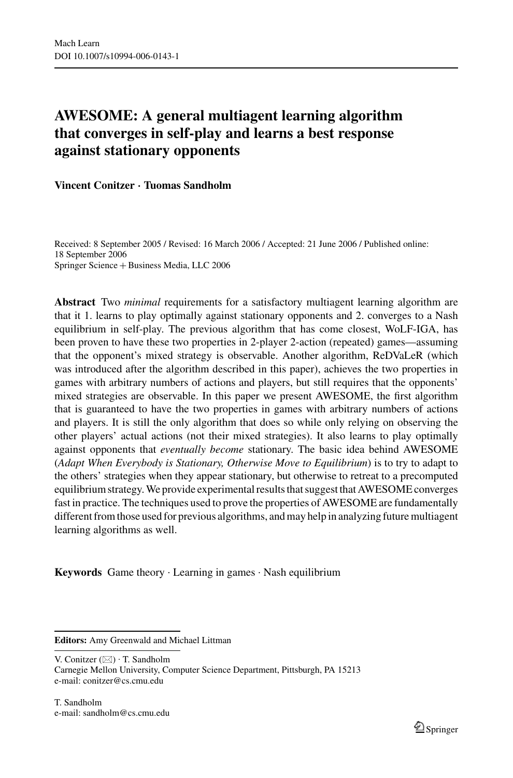# **AWESOME: A general multiagent learning algorithm that converges in self-play and learns a best response against stationary opponents**

**Vincent Conitzer** *·* **Tuomas Sandholm**

Received: 8 September 2005 / Revised: 16 March 2006 / Accepted: 21 June 2006 / Published online: 18 September 2006 Springer Science + Business Media, LLC 2006

**Abstract** Two *minimal* requirements for a satisfactory multiagent learning algorithm are that it 1. learns to play optimally against stationary opponents and 2. converges to a Nash equilibrium in self-play. The previous algorithm that has come closest, WoLF-IGA, has been proven to have these two properties in 2-player 2-action (repeated) games—assuming that the opponent's mixed strategy is observable. Another algorithm, ReDVaLeR (which was introduced after the algorithm described in this paper), achieves the two properties in games with arbitrary numbers of actions and players, but still requires that the opponents' mixed strategies are observable. In this paper we present AWESOME, the first algorithm that is guaranteed to have the two properties in games with arbitrary numbers of actions and players. It is still the only algorithm that does so while only relying on observing the other players' actual actions (not their mixed strategies). It also learns to play optimally against opponents that *eventually become* stationary. The basic idea behind AWESOME (*Adapt When Everybody is Stationary, Otherwise Move to Equilibrium*) is to try to adapt to the others' strategies when they appear stationary, but otherwise to retreat to a precomputed equilibrium strategy. We provide experimental results that suggest that AWESOME converges fast in practice. The techniques used to prove the properties of AWESOME are fundamentally different from those used for previous algorithms, and may help in analyzing future multiagent learning algorithms as well.

**Keywords** Game theory . Learning in games . Nash equilibrium

V. Conitzer  $(\boxtimes)$  · T. Sandholm

**Editors:** Amy Greenwald and Michael Littman

Carnegie Mellon University, Computer Science Department, Pittsburgh, PA 15213 e-mail: conitzer@cs.cmu.edu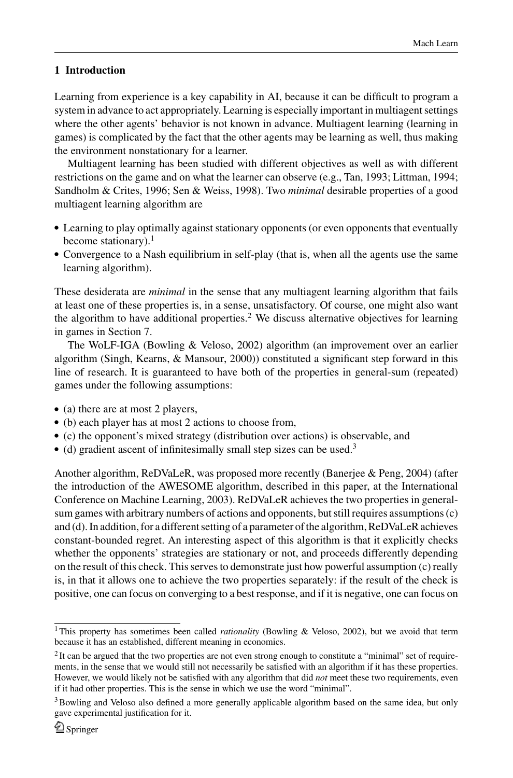# **1 Introduction**

Learning from experience is a key capability in AI, because it can be difficult to program a system in advance to act appropriately. Learning is especially important in multiagent settings where the other agents' behavior is not known in advance. Multiagent learning (learning in games) is complicated by the fact that the other agents may be learning as well, thus making the environment nonstationary for a learner.

Multiagent learning has been studied with different objectives as well as with different restrictions on the game and on what the learner can observe (e.g., Tan, 1993; Littman, 1994; Sandholm & Crites, 1996; Sen & Weiss, 1998). Two *minimal* desirable properties of a good multiagent learning algorithm are

- Learning to play optimally against stationary opponents (or even opponents that eventually become stationary). $<sup>1</sup>$ </sup>
- Convergence to a Nash equilibrium in self-play (that is, when all the agents use the same learning algorithm).

These desiderata are *minimal* in the sense that any multiagent learning algorithm that fails at least one of these properties is, in a sense, unsatisfactory. Of course, one might also want the algorithm to have additional properties.<sup>2</sup> We discuss alternative objectives for learning in games in Section 7.

The WoLF-IGA (Bowling & Veloso, 2002) algorithm (an improvement over an earlier algorithm (Singh, Kearns, & Mansour, 2000)) constituted a significant step forward in this line of research. It is guaranteed to have both of the properties in general-sum (repeated) games under the following assumptions:

- (a) there are at most 2 players,
- (b) each player has at most 2 actions to choose from,
- (c) the opponent's mixed strategy (distribution over actions) is observable, and
- (d) gradient ascent of infinitesimally small step sizes can be used.<sup>3</sup>

Another algorithm, ReDVaLeR, was proposed more recently (Banerjee & Peng, 2004) (after the introduction of the AWESOME algorithm, described in this paper, at the International Conference on Machine Learning, 2003). ReDVaLeR achieves the two properties in generalsum games with arbitrary numbers of actions and opponents, but still requires assumptions (c) and (d). In addition, for a different setting of a parameter of the algorithm, ReDVaLeR achieves constant-bounded regret. An interesting aspect of this algorithm is that it explicitly checks whether the opponents' strategies are stationary or not, and proceeds differently depending on the result of this check. This serves to demonstrate just how powerful assumption (c) really is, in that it allows one to achieve the two properties separately: if the result of the check is positive, one can focus on converging to a best response, and if it is negative, one can focus on

<sup>1</sup>This property has sometimes been called *rationality* (Bowling & Veloso, 2002), but we avoid that term because it has an established, different meaning in economics.

<sup>2</sup> It can be argued that the two properties are not even strong enough to constitute a "minimal" set of requirements, in the sense that we would still not necessarily be satisfied with an algorithm if it has these properties. However, we would likely not be satisfied with any algorithm that did *not* meet these two requirements, even if it had other properties. This is the sense in which we use the word "minimal".

<sup>&</sup>lt;sup>3</sup> Bowling and Veloso also defined a more generally applicable algorithm based on the same idea, but only gave experimental justification for it.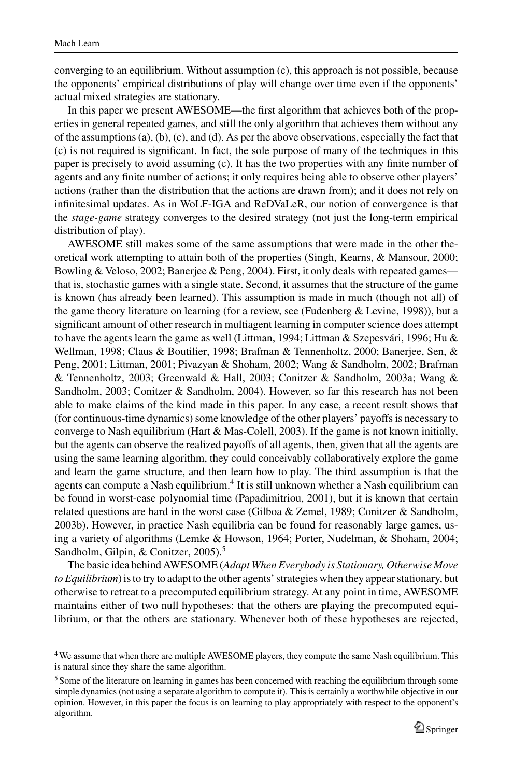converging to an equilibrium. Without assumption (c), this approach is not possible, because the opponents' empirical distributions of play will change over time even if the opponents' actual mixed strategies are stationary.

In this paper we present AWESOME—the first algorithm that achieves both of the properties in general repeated games, and still the only algorithm that achieves them without any of the assumptions (a), (b), (c), and (d). As per the above observations, especially the fact that (c) is not required is significant. In fact, the sole purpose of many of the techniques in this paper is precisely to avoid assuming (c). It has the two properties with any finite number of agents and any finite number of actions; it only requires being able to observe other players' actions (rather than the distribution that the actions are drawn from); and it does not rely on infinitesimal updates. As in WoLF-IGA and ReDVaLeR, our notion of convergence is that the *stage-game* strategy converges to the desired strategy (not just the long-term empirical distribution of play).

AWESOME still makes some of the same assumptions that were made in the other theoretical work attempting to attain both of the properties (Singh, Kearns, & Mansour, 2000; Bowling & Veloso, 2002; Banerjee & Peng, 2004). First, it only deals with repeated games that is, stochastic games with a single state. Second, it assumes that the structure of the game is known (has already been learned). This assumption is made in much (though not all) of the game theory literature on learning (for a review, see (Fudenberg & Levine, 1998)), but a significant amount of other research in multiagent learning in computer science does attempt to have the agents learn the game as well (Littman, 1994; Littman & Szepesvári, 1996; Hu & Wellman, 1998; Claus & Boutilier, 1998; Brafman & Tennenholtz, 2000; Banerjee, Sen, & Peng, 2001; Littman, 2001; Pivazyan & Shoham, 2002; Wang & Sandholm, 2002; Brafman & Tennenholtz, 2003; Greenwald & Hall, 2003; Conitzer & Sandholm, 2003a; Wang & Sandholm, 2003; Conitzer & Sandholm, 2004). However, so far this research has not been able to make claims of the kind made in this paper. In any case, a recent result shows that (for continuous-time dynamics) some knowledge of the other players' payoffs is necessary to converge to Nash equilibrium (Hart & Mas-Colell, 2003). If the game is not known initially, but the agents can observe the realized payoffs of all agents, then, given that all the agents are using the same learning algorithm, they could conceivably collaboratively explore the game and learn the game structure, and then learn how to play. The third assumption is that the agents can compute a Nash equilibrium.<sup>4</sup> It is still unknown whether a Nash equilibrium can be found in worst-case polynomial time (Papadimitriou, 2001), but it is known that certain related questions are hard in the worst case (Gilboa & Zemel, 1989; Conitzer & Sandholm, 2003b). However, in practice Nash equilibria can be found for reasonably large games, using a variety of algorithms (Lemke & Howson, 1964; Porter, Nudelman, & Shoham, 2004; Sandholm, Gilpin, & Conitzer, 2005).<sup>5</sup>

The basic idea behind AWESOME (*Adapt When Everybody is Stationary, Otherwise Move to Equilibrium*) is to try to adapt to the other agents' strategies when they appear stationary, but otherwise to retreat to a precomputed equilibrium strategy. At any point in time, AWESOME maintains either of two null hypotheses: that the others are playing the precomputed equilibrium, or that the others are stationary. Whenever both of these hypotheses are rejected,

<sup>4</sup>We assume that when there are multiple AWESOME players, they compute the same Nash equilibrium. This is natural since they share the same algorithm.

<sup>&</sup>lt;sup>5</sup> Some of the literature on learning in games has been concerned with reaching the equilibrium through some simple dynamics (not using a separate algorithm to compute it). This is certainly a worthwhile objective in our opinion. However, in this paper the focus is on learning to play appropriately with respect to the opponent's algorithm.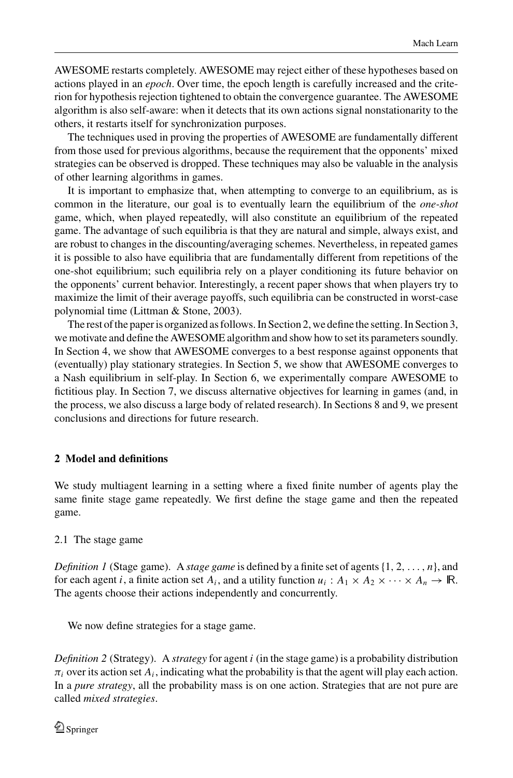AWESOME restarts completely. AWESOME may reject either of these hypotheses based on actions played in an *epoch*. Over time, the epoch length is carefully increased and the criterion for hypothesis rejection tightened to obtain the convergence guarantee. The AWESOME algorithm is also self-aware: when it detects that its own actions signal nonstationarity to the others, it restarts itself for synchronization purposes.

The techniques used in proving the properties of AWESOME are fundamentally different from those used for previous algorithms, because the requirement that the opponents' mixed strategies can be observed is dropped. These techniques may also be valuable in the analysis of other learning algorithms in games.

It is important to emphasize that, when attempting to converge to an equilibrium, as is common in the literature, our goal is to eventually learn the equilibrium of the *one-shot* game, which, when played repeatedly, will also constitute an equilibrium of the repeated game. The advantage of such equilibria is that they are natural and simple, always exist, and are robust to changes in the discounting/averaging schemes. Nevertheless, in repeated games it is possible to also have equilibria that are fundamentally different from repetitions of the one-shot equilibrium; such equilibria rely on a player conditioning its future behavior on the opponents' current behavior. Interestingly, a recent paper shows that when players try to maximize the limit of their average payoffs, such equilibria can be constructed in worst-case polynomial time (Littman & Stone, 2003).

The rest of the paper is organized as follows. In Section 2, we define the setting. In Section 3, we motivate and define the AWESOME algorithm and show how to set its parameters soundly. In Section 4, we show that AWESOME converges to a best response against opponents that (eventually) play stationary strategies. In Section 5, we show that AWESOME converges to a Nash equilibrium in self-play. In Section 6, we experimentally compare AWESOME to fictitious play. In Section 7, we discuss alternative objectives for learning in games (and, in the process, we also discuss a large body of related research). In Sections 8 and 9, we present conclusions and directions for future research.

# **2 Model and definitions**

We study multiagent learning in a setting where a fixed finite number of agents play the same finite stage game repeatedly. We first define the stage game and then the repeated game.

# 2.1 The stage game

*Definition 1* (Stage game). A *stage game* is defined by a finite set of agents{1, 2,..., *n*}, and for each agent *i*, a finite action set  $A_i$ , and a utility function  $u_i : A_1 \times A_2 \times \cdots \times A_n \to \mathbb{R}$ . The agents choose their actions independently and concurrently.

We now define strategies for a stage game.

*Definition 2* (Strategy). A *strategy* for agent *i* (in the stage game) is a probability distribution  $\pi_i$  over its action set  $A_i$ , indicating what the probability is that the agent will play each action. In a *pure strategy*, all the probability mass is on one action. Strategies that are not pure are called *mixed strategies*.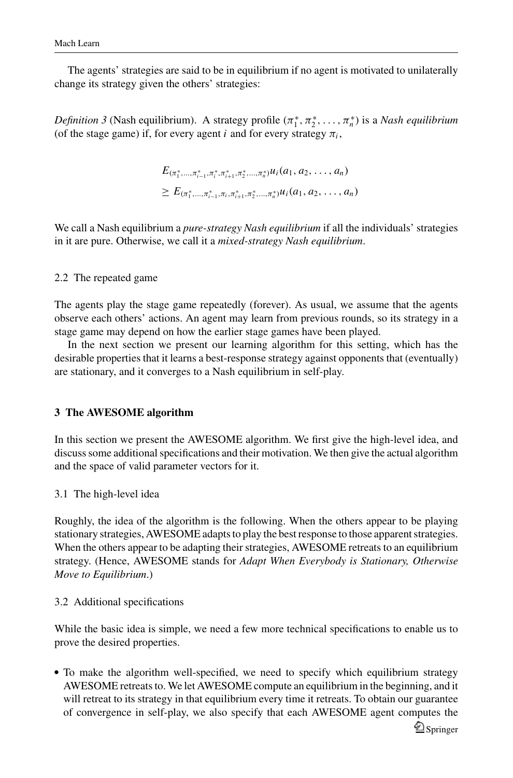The agents' strategies are said to be in equilibrium if no agent is motivated to unilaterally change its strategy given the others' strategies:

*Definition 3* (Nash equilibrium). A strategy profile  $(\pi_1^*, \pi_2^*, \dots, \pi_n^*)$  is a *Nash equilibrium* (of the stage game) if, for every agent *i* and for every strategy  $\pi_i$ ,

> $E_{(\pi_1^*,...,\pi_{i-1}^*,\pi_i^*,\pi_{i+1}^*,\pi_2^*,...,\pi_n^*)}$ *u*<sub>*i*</sub>(*a*<sub>1</sub>, *a*<sub>2</sub>, ..., *a*<sub>*n*</sub>)  $\geq E_{(\pi_1^*,...,\pi_{i-1}^*,\pi_i,\pi_{i+1}^*,\pi_2^*,...,\pi_n^*)}u_i(a_1,a_2,...,a_n)$

We call a Nash equilibrium a *pure-strategy Nash equilibrium* if all the individuals' strategies in it are pure. Otherwise, we call it a *mixed-strategy Nash equilibrium*.

# 2.2 The repeated game

The agents play the stage game repeatedly (forever). As usual, we assume that the agents observe each others' actions. An agent may learn from previous rounds, so its strategy in a stage game may depend on how the earlier stage games have been played.

In the next section we present our learning algorithm for this setting, which has the desirable properties that it learns a best-response strategy against opponents that (eventually) are stationary, and it converges to a Nash equilibrium in self-play.

## **3 The AWESOME algorithm**

In this section we present the AWESOME algorithm. We first give the high-level idea, and discuss some additional specifications and their motivation. We then give the actual algorithm and the space of valid parameter vectors for it.

## 3.1 The high-level idea

Roughly, the idea of the algorithm is the following. When the others appear to be playing stationary strategies, AWESOME adapts to play the best response to those apparent strategies. When the others appear to be adapting their strategies, AWESOME retreats to an equilibrium strategy. (Hence, AWESOME stands for *Adapt When Everybody is Stationary, Otherwise Move to Equilibrium*.)

## 3.2 Additional specifications

While the basic idea is simple, we need a few more technical specifications to enable us to prove the desired properties.

- To make the algorithm well-specified, we need to specify which equilibrium strategy AWESOME retreats to. We let AWESOME compute an equilibrium in the beginning, and it will retreat to its strategy in that equilibrium every time it retreats. To obtain our guarantee of convergence in self-play, we also specify that each AWESOME agent computes the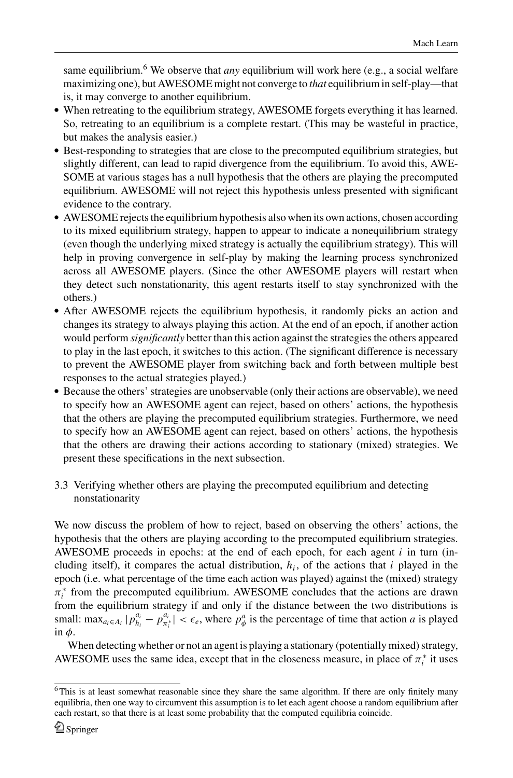same equilibrium.<sup>6</sup> We observe that *any* equilibrium will work here (e.g., a social welfare maximizing one), but AWESOME might not converge to *that* equilibrium in self-play—that is, it may converge to another equilibrium.

- When retreating to the equilibrium strategy, AWESOME forgets everything it has learned. So, retreating to an equilibrium is a complete restart. (This may be wasteful in practice, but makes the analysis easier.)
- Best-responding to strategies that are close to the precomputed equilibrium strategies, but slightly different, can lead to rapid divergence from the equilibrium. To avoid this, AWE-SOME at various stages has a null hypothesis that the others are playing the precomputed equilibrium. AWESOME will not reject this hypothesis unless presented with significant evidence to the contrary.
- AWESOME rejects the equilibrium hypothesis also when its own actions, chosen according to its mixed equilibrium strategy, happen to appear to indicate a nonequilibrium strategy (even though the underlying mixed strategy is actually the equilibrium strategy). This will help in proving convergence in self-play by making the learning process synchronized across all AWESOME players. (Since the other AWESOME players will restart when they detect such nonstationarity, this agent restarts itself to stay synchronized with the others.)
- After AWESOME rejects the equilibrium hypothesis, it randomly picks an action and changes its strategy to always playing this action. At the end of an epoch, if another action would perform *significantly* better than this action against the strategies the others appeared to play in the last epoch, it switches to this action. (The significant difference is necessary to prevent the AWESOME player from switching back and forth between multiple best responses to the actual strategies played.)
- Because the others' strategies are unobservable (only their actions are observable), we need to specify how an AWESOME agent can reject, based on others' actions, the hypothesis that the others are playing the precomputed equilibrium strategies. Furthermore, we need to specify how an AWESOME agent can reject, based on others' actions, the hypothesis that the others are drawing their actions according to stationary (mixed) strategies. We present these specifications in the next subsection.
- 3.3 Verifying whether others are playing the precomputed equilibrium and detecting nonstationarity

We now discuss the problem of how to reject, based on observing the others' actions, the hypothesis that the others are playing according to the precomputed equilibrium strategies. AWESOME proceeds in epochs: at the end of each epoch, for each agent *i* in turn (including itself), it compares the actual distribution,  $h_i$ , of the actions that *i* played in the epoch (i.e. what percentage of the time each action was played) against the (mixed) strategy  $\pi_i^*$  from the precomputed equilibrium. AWESOME concludes that the actions are drawn from the equilibrium strategy if and only if the distance between the two distributions is small:  $\max_{a_i \in A_i} |p_{h_i}^{a_i} - p_{\pi_i^*}^{a_i}| < \epsilon_e$ , where  $p_{\phi}^a$  is the percentage of time that action *a* is played in  $φ$ .

When detecting whether or not an agent is playing a stationary (potentially mixed) strategy, AWESOME uses the same idea, except that in the closeness measure, in place of  $\pi_i^*$  it uses

<sup>&</sup>lt;sup>6</sup>This is at least somewhat reasonable since they share the same algorithm. If there are only finitely many equilibria, then one way to circumvent this assumption is to let each agent choose a random equilibrium after each restart, so that there is at least some probability that the computed equilibria coincide.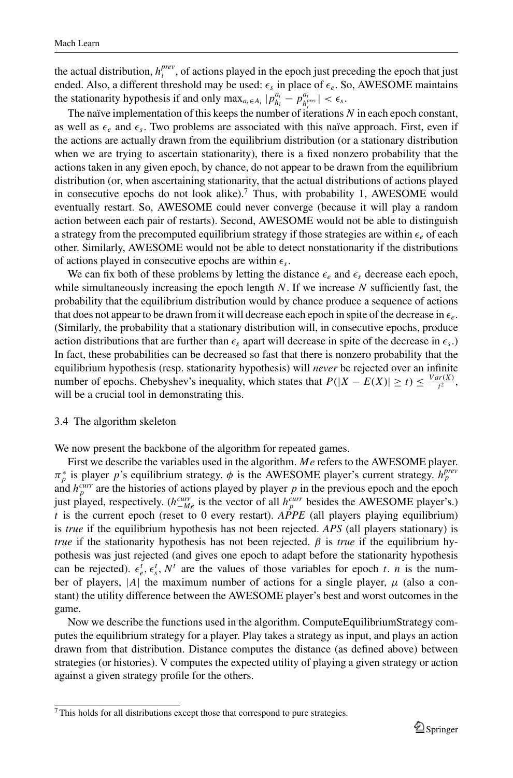the actual distribution,  $h_i^{prev}$ , of actions played in the epoch just preceding the epoch that just ended. Also, a different threshold may be used:  $\epsilon_s$  in place of  $\epsilon_e$ . So, AWESOME maintains the stationarity hypothesis if and only  $\max_{a_i \in A_i} |p_{h_i}^{a_i} - p_{h_i^{prev}}^{a_i}| < \epsilon_s$ .

The naïve implementation of this keeps the number of iterations  $N$  in each epoch constant, as well as  $\epsilon_e$  and  $\epsilon_s$ . Two problems are associated with this naïve approach. First, even if the actions are actually drawn from the equilibrium distribution (or a stationary distribution when we are trying to ascertain stationarity), there is a fixed nonzero probability that the actions taken in any given epoch, by chance, do not appear to be drawn from the equilibrium distribution (or, when ascertaining stationarity, that the actual distributions of actions played in consecutive epochs do not look alike).<sup>7</sup> Thus, with probability 1, AWESOME would eventually restart. So, AWESOME could never converge (because it will play a random action between each pair of restarts). Second, AWESOME would not be able to distinguish a strategy from the precomputed equilibrium strategy if those strategies are within  $\epsilon_e$  of each other. Similarly, AWESOME would not be able to detect nonstationarity if the distributions of actions played in consecutive epochs are within  $\epsilon_s$ .

We can fix both of these problems by letting the distance  $\epsilon_e$  and  $\epsilon_s$  decrease each epoch, while simultaneously increasing the epoch length *N*. If we increase *N* sufficiently fast, the probability that the equilibrium distribution would by chance produce a sequence of actions that does not appear to be drawn from it will decrease each epoch in spite of the decrease in  $\epsilon_e$ . (Similarly, the probability that a stationary distribution will, in consecutive epochs, produce action distributions that are further than  $\epsilon_s$  apart will decrease in spite of the decrease in  $\epsilon_s$ .) In fact, these probabilities can be decreased so fast that there is nonzero probability that the equilibrium hypothesis (resp. stationarity hypothesis) will *never* be rejected over an infinite number of epochs. Chebyshev's inequality, which states that  $P(|X - E(X)| \ge t) \le \frac{Var(X)}{t^2}$ , will be a crucial tool in demonstrating this.

## 3.4 The algorithm skeleton

We now present the backbone of the algorithm for repeated games.

First we describe the variables used in the algorithm. *Me* refers to the AWESOME player.  $\pi_p^*$  is player *p*'s equilibrium strategy.  $\phi$  is the AWESOME player's current strategy.  $h_p^{prev}$ and  $h_p^{curr}$  are the histories of actions played by player *p* in the previous epoch and the epoch just played, respectively. ( $h_{-Me}^{curr}$  is the vector of all  $h_p^{curr}$  besides the AWESOME player's.) *t* is the current epoch (reset to 0 every restart).  $APPE$  (all players playing equilibrium) is *true* if the equilibrium hypothesis has not been rejected. *APS* (all players stationary) is *true* if the stationarity hypothesis has not been rejected. β is *true* if the equilibrium hypothesis was just rejected (and gives one epoch to adapt before the stationarity hypothesis can be rejected).  $\epsilon_e^t$ ,  $\epsilon_s^t$ ,  $N^t$  are the values of those variables for epoch *t*. *n* is the number of players,  $|A|$  the maximum number of actions for a single player,  $\mu$  (also a constant) the utility difference between the AWESOME player's best and worst outcomes in the game.

Now we describe the functions used in the algorithm. ComputeEquilibriumStrategy computes the equilibrium strategy for a player. Play takes a strategy as input, and plays an action drawn from that distribution. Distance computes the distance (as defined above) between strategies (or histories). V computes the expected utility of playing a given strategy or action against a given strategy profile for the others.

 $7$ This holds for all distributions except those that correspond to pure strategies.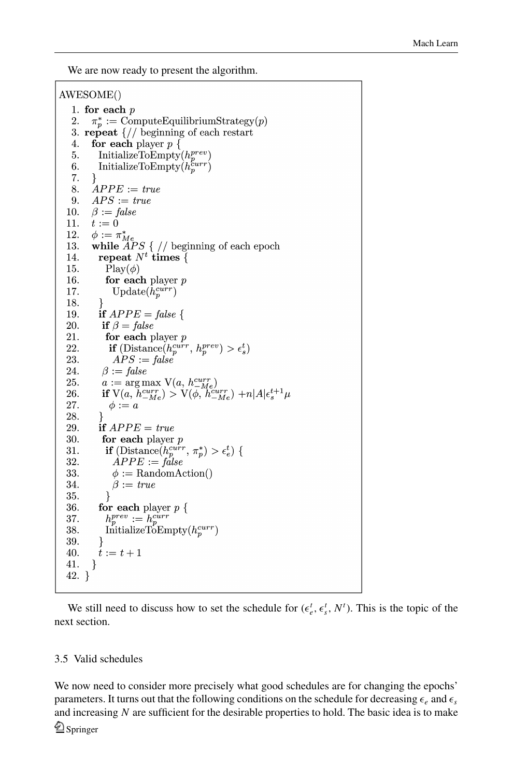We are now ready to present the algorithm.

AWESOME() 1. for each  $p$  $2.$  $\pi_n^* :=$  Compute Equilibrium Strategy (p) 3. **repeat**  $\frac{1}{4}$  beginning of each restart 4. for each player  $p \nvert$ InitializeToEmpty $(h_p^{prev})$ 5. InitializeToEmpty $(h_p^{curr})$ 6. 7.  $\rightarrow$ 8.  $APPE := true$ 9.  $APS := true$ 10.  $\beta := false$  $t := 0$  $11.$  $\phi := \pi_{Me}^*$  while *APS* { // beginning of each epoch 12. 13. 14. repeat  $N^t$  times { 15.  $Play(\phi)$ 16. for each player  $p$ Update  $(h_p^{curr})$ 17. 18. 19. if  $APPE = false$ 20. if  $\beta = false$ 21. for each player  $p$ **if** (Distance  $(h_p^{curr}, h_p^{prev}) > \epsilon_s^t$ ) 22. 23.  $APS := false$  $\beta := false$ 24.  $\begin{array}{l} a := \arg \max \mathbf V(a, \, h^{curr}_{-Me}) \\ \textbf{if} \, \mathbf V(a, \, h^{curr}_{-Me}) > \mathbf V(\phi, \, h^{curr}_{-Me}) \, + n |A| \epsilon^{t+1}_s \mu \end{array}$ 25. 26. 27.  $\phi := a$ 28. 29. if  $APPE = true$ 30. for each player  $p$ **if** (Distance( $h_p^{curr}$ ,  $\pi_p^*$ ) >  $\epsilon_e^t$ ) { 31. 32.  $APPE := false$ 33.  $\phi := \text{RandomAction}()$ 34.  $\beta := true$  $\mathcal{E}$ 35. 36. for each player  $p \nvert p$  $h_p^{prev} := h_p^{curr}$ 37. InitializeToEmpty $(h^{curr}_p)$ 38. 39. ł 40.  $t:=t+1$ 41. }  $42. \}$ 

We still need to discuss how to set the schedule for  $(\epsilon^t_{\epsilon}, \epsilon^t_{s}, N^t)$ . This is the topic of the next section.

# 3.5 Valid schedules

We now need to consider more precisely what good schedules are for changing the epochs' parameters. It turns out that the following conditions on the schedule for decreasing  $\epsilon_e$  and  $\epsilon_s$ and increasing *N* are sufficient for the desirable properties to hold. The basic idea is to make  $\mathcal{D}_{\text{Springer}}$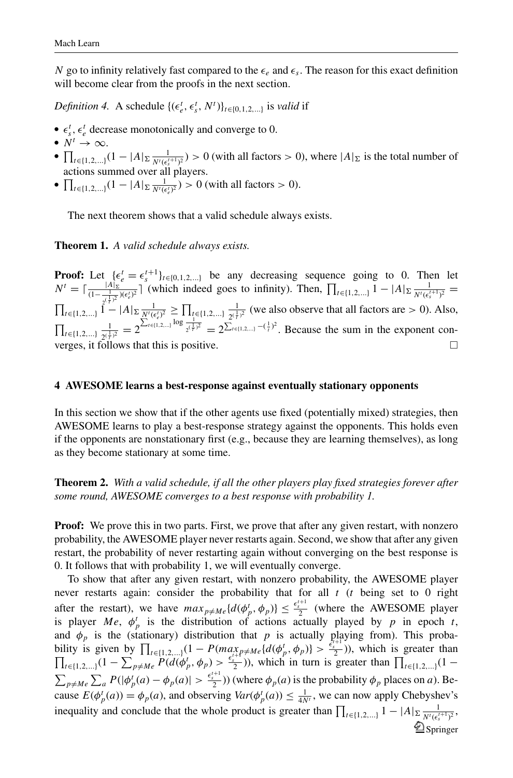*N* go to infinity relatively fast compared to the  $\epsilon_e$  and  $\epsilon_s$ . The reason for this exact definition will become clear from the proofs in the next section.

*Definition 4.* A schedule  $\{ (\epsilon^t_{\epsilon}, \epsilon^t_{s}, N^t) \}_{t \in \{0, 1, 2, \ldots\}}$  is *valid* if

- $\bullet \epsilon_s^t$ ,  $\epsilon_e^t$  decrease monotonically and converge to 0.<br> $\bullet N^t \rightarrow \infty$ .
- $N^t \rightarrow \infty$ .
- $\prod_{t \in \{1,2,\ldots\}}(1 |A|_{\Sigma} \frac{1}{N'(e_s^{t+1})^2}) > 0$  (with all factors > 0), where  $|A|_{\Sigma}$  is the total number of actions summed over all players.
- $\prod_{t \in \{1, 2, ...\}} (1 |A|_{\Sigma} \frac{1}{N^t(\epsilon_e^j)^2}) > 0$  (with all factors > 0).

The next theorem shows that a valid schedule always exists.

**Theorem 1.** *A valid schedule always exists.*

**Proof:** Let  $\{\epsilon_e^t = \epsilon_s^{t+1}\}_{t \in \{0,1,2,...\}}$  be any decreasing sequence going to 0. Then let  $N^t = \left[\frac{|A|_{\Sigma}}{(1 - \frac{1}{2(\frac{1}{\epsilon})^2})(\epsilon_{\epsilon})^2}\right]$  (which indeed goes to infinity). Then,  $\prod_{t \in \{1, 2, \dots\}} 1 - |A|_{\Sigma} \frac{1}{N^t(\epsilon_{\epsilon}^{t+1})^2}$  $\prod_{t \in \{1,2,...\}} 1^{(t+2)^{2/(k\epsilon)}}$   $\prod_{t \in \{1,2,...\}} \frac{1}{2^{(t+2)}}$  (we also observe that all factors are > 0). Also,  $\prod_{t \in \{1,2,...\}} \frac{1}{2^{(\frac{1}{t})^2}} = 2^{\sum_{t \in \{1,2,...\}} \log \frac{1}{2^{(\frac{1}{t})^2}}}} = 2^{\sum_{t \in \{1,2,...\}} \frac{2}{(\frac{1}{t})^2}}$ . Because the sum in the exponent converges, it follows that this is positive.  $\Box$ 

## **4 AWESOME learns a best-response against eventually stationary opponents**

In this section we show that if the other agents use fixed (potentially mixed) strategies, then AWESOME learns to play a best-response strategy against the opponents. This holds even if the opponents are nonstationary first  $(e.g., because they are learning themselves)$ , as long as they become stationary at some time.

**Theorem 2.** *With a valid schedule, if all the other players play fixed strategies forever after some round, AWESOME converges to a best response with probability 1.*

**Proof:** We prove this in two parts. First, we prove that after any given restart, with nonzero probability, the AWESOME player never restarts again. Second, we show that after any given restart, the probability of never restarting again without converging on the best response is 0. It follows that with probability 1, we will eventually converge.

To show that after any given restart, with nonzero probability, the AWESOME player never restarts again: consider the probability that for all *t* (*t* being set to 0 right after the restart), we have  $max_{p \neq Me} \{d(\phi_p^t, \phi_p)\} \leq \frac{\epsilon_i^{t+1}}{2}$  (where the AWESOME player is player *Me*,  $\phi_p^t$  is the distribution of actions actually played by *p* in epoch *t*, and  $\phi_p$  is the (stationary) distribution that *p* is actually playing from). This probability is given by  $\prod_{t\in\{1,2,...\}}(1-P(max_{p\neq Me}[d(\phi_p^t, \phi_p)] > \frac{\epsilon_{s+1}^{t+1}}{2})$ , which is greater than  $\prod_{t\in\{1,2,...\}}(1-\sum_{n\neq Me}P(d(\phi_n^t, \phi_n)) > \frac{\epsilon_{s+1}^{t+1}}{2})$ , which is greater than  $t \in \{1, 2, \ldots\}$   $(1 - \sum_{p \neq M_e} \frac{P(d(\phi_p^t, \phi_p) > \frac{\epsilon_i^{t+1}}{2})}{P(d(\phi_p^t, \phi_p) > \frac{\epsilon_i^{t+1}}{2})}$ , which in turn is greater than  $\prod_{t \in \{1, 2, \ldots\}} (1 \sum_{p \neq Me} \sum_a P(|\phi_p^t(a) - \phi_p(a)| > \frac{\epsilon_s^{t+1}}{2})$  (where  $\phi_p(a)$  is the probability  $\phi_p$  places on *a*). Because  $E(\phi_p^t(a)) = \phi_p(a)$ , and observing  $Var(\phi_p^t(a)) \le \frac{1}{4N^t}$ , we can now apply Chebyshev's inequality and conclude that the whole product is greater than  $\prod_{t \in \{1,2,...\}} 1 - |A| \sum_{N'} \frac{1}{N'(\epsilon_s^{t+1})^2}$ , Springer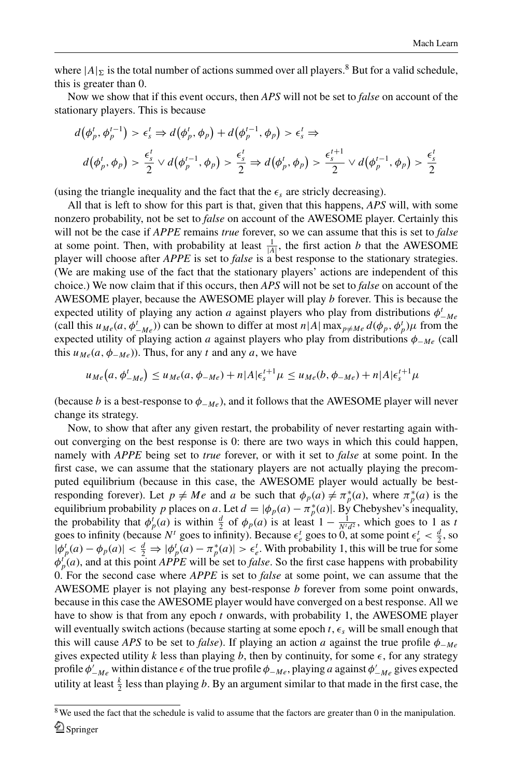where  $|A|_{\Sigma}$  is the total number of actions summed over all players.<sup>8</sup> But for a valid schedule, this is greater than 0.

Now we show that if this event occurs, then *APS* will not be set to *false* on account of the stationary players. This is because

$$
d(\phi_p^t, \phi_p^{t-1}) > \epsilon_s^t \Rightarrow d(\phi_p^t, \phi_p) + d(\phi_p^{t-1}, \phi_p) > \epsilon_s^t \Rightarrow
$$
  

$$
d(\phi_p^t, \phi_p) > \frac{\epsilon_s^t}{2} \vee d(\phi_p^{t-1}, \phi_p) > \frac{\epsilon_s^t}{2} \Rightarrow d(\phi_p^t, \phi_p) > \frac{\epsilon_s^{t+1}}{2} \vee d(\phi_p^{t-1}, \phi_p) > \frac{\epsilon_s^t}{2}
$$

(using the triangle inequality and the fact that the  $\epsilon_s$  are stricly decreasing).

All that is left to show for this part is that, given that this happens, *APS* will, with some nonzero probability, not be set to *false* on account of the AWESOME player. Certainly this will not be the case if *APPE* remains *true* forever, so we can assume that this is set to *false* at some point. Then, with probability at least  $\frac{1}{|A|}$ , the first action *b* that the AWESOME player will choose after *APPE* is set to *false* is a best response to the stationary strategies. (We are making use of the fact that the stationary players' actions are independent of this choice.) We now claim that if this occurs, then *APS* will not be set to *false* on account of the AWESOME player, because the AWESOME player will play *b* forever. This is because the expected utility of playing any action *a* against players who play from distributions  $\phi_{-Me}^t$ (call this  $u_{Me}(a, \phi_{-Me}^t)$ ) can be shown to differ at most  $n|A| \max_{p \neq Me} d(\phi_p, \phi_p^t) \mu$  from the expected utility of playing action *a* against players who play from distributions φ−*Me* (call this  $u_{Me}(a, \phi_{-Me})$ ). Thus, for any *t* and any *a*, we have

$$
u_{Me}(a, \phi_{-Me}^{t}) \leq u_{Me}(a, \phi_{-Me}) + n|A|\epsilon_{s}^{t+1}\mu \leq u_{Me}(b, \phi_{-Me}) + n|A|\epsilon_{s}^{t+1}\mu
$$

(because *b* is a best-response to  $\phi_{-Me}$ ), and it follows that the AWESOME player will never change its strategy.

Now, to show that after any given restart, the probability of never restarting again without converging on the best response is 0: there are two ways in which this could happen, namely with *APPE* being set to *true* forever, or with it set to *false* at some point. In the first case, we can assume that the stationary players are not actually playing the precomputed equilibrium (because in this case, the AWESOME player would actually be bestresponding forever). Let  $p \neq Me$  and *a* be such that  $\phi_p(a) \neq \pi_p^*(a)$ , where  $\pi_p^*(a)$  is the equilibrium probability *p* places on *a*. Let  $d = |\phi_p(a) - \pi_p^*(a)|$ . By Chebyshev's inequality, the probability that  $\phi_p^t(a)$  is within  $\frac{d}{2}$  of  $\phi_p(a)$  is at least  $1 - \frac{1}{N^t a^2}$ , which goes to 1 as *t* goes to infinity (because  $N^t$  goes to infinity). Because  $\epsilon_e^t$  goes to 0, at some point  $\epsilon_e^t < \frac{d}{2}$ , so  $|\phi_p^t(a) - \phi_p(a)| < \frac{d}{2} \Rightarrow |\phi_p^t(a) - \pi_p^*(a)| > \epsilon_e^t$ . With probability 1, this will be true for some  $\phi_p^t(a)$ , and at this point *APPE* will be set to *false*. So the first case happens with probability 0. For the second case where *APPE* is set to *false* at some point, we can assume that the AWESOME player is not playing any best-response *b* forever from some point onwards, because in this case the AWESOME player would have converged on a best response. All we have to show is that from any epoch *t* onwards, with probability 1, the AWESOME player will eventually switch actions (because starting at some epoch  $t$ ,  $\epsilon_s$  will be small enough that this will cause *APS* to be set to *false*). If playing an action *a* against the true profile  $\phi_{\text{-}Me}$ gives expected utility  $k$  less than playing  $b$ , then by continuity, for some  $\epsilon$ , for any strategy profile  $\phi'_{-Me}$  within distance  $\epsilon$  of the true profile  $\phi_{-Me}$ , playing *a* against  $\phi'_{-Me}$  gives expected utility at least  $\frac{k}{2}$  less than playing *b*. By an argument similar to that made in the first case, the

<sup>&</sup>lt;sup>8</sup>We used the fact that the schedule is valid to assume that the factors are greater than 0 in the manipulation. *<u>D</u>* Springer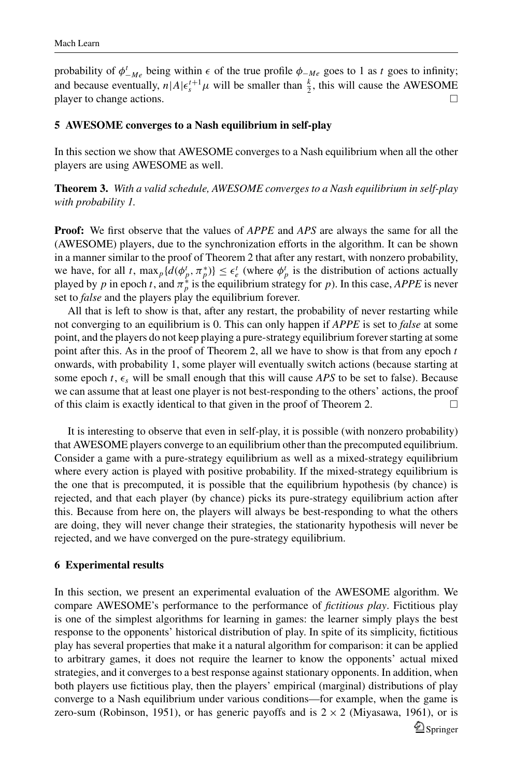probability of  $\phi_{-Me}^t$  being within  $\epsilon$  of the true profile  $\phi_{-Me}$  goes to 1 as *t* goes to infinity; and because eventually,  $n|A|\epsilon_s^{t+1}\mu$  will be smaller than  $\frac{k}{2}$ , this will cause the AWESOME player to change actions.

## **5 AWESOME converges to a Nash equilibrium in self-play**

In this section we show that AWESOME converges to a Nash equilibrium when all the other players are using AWESOME as well.

**Theorem 3.** *With a valid schedule, AWESOME converges to a Nash equilibrium in self-play with probability 1.*

**Proof:** We first observe that the values of *APPE* and *APS* are always the same for all the (AWESOME) players, due to the synchronization efforts in the algorithm. It can be shown in a manner similar to the proof of Theorem 2 that after any restart, with nonzero probability, we have, for all *t*,  $\max_{p} \{d(\phi_p^t, \pi_p^*)\} \le \epsilon_e^t$  (where  $\phi_p^t$  is the distribution of actions actually played by *p* in epoch *t*, and  $\pi_p^*$  is the equilibrium strategy for *p*). In this case, *APPE* is never set to *false* and the players play the equilibrium forever.

All that is left to show is that, after any restart, the probability of never restarting while not converging to an equilibrium is 0. This can only happen if *APPE* is set to *false* at some point, and the players do not keep playing a pure-strategy equilibrium forever starting at some point after this. As in the proof of Theorem 2, all we have to show is that from any epoch *t* onwards, with probability 1, some player will eventually switch actions (because starting at some epoch  $t$ ,  $\epsilon_s$  will be small enough that this will cause *APS* to be set to false). Because we can assume that at least one player is not best-responding to the others' actions, the proof of this claim is exactly identical to that given in the proof of Theorem 2. -

It is interesting to observe that even in self-play, it is possible (with nonzero probability) that AWESOME players converge to an equilibrium other than the precomputed equilibrium. Consider a game with a pure-strategy equilibrium as well as a mixed-strategy equilibrium where every action is played with positive probability. If the mixed-strategy equilibrium is the one that is precomputed, it is possible that the equilibrium hypothesis (by chance) is rejected, and that each player (by chance) picks its pure-strategy equilibrium action after this. Because from here on, the players will always be best-responding to what the others are doing, they will never change their strategies, the stationarity hypothesis will never be rejected, and we have converged on the pure-strategy equilibrium.

#### **6 Experimental results**

In this section, we present an experimental evaluation of the AWESOME algorithm. We compare AWESOME's performance to the performance of *fictitious play*. Fictitious play is one of the simplest algorithms for learning in games: the learner simply plays the best response to the opponents' historical distribution of play. In spite of its simplicity, fictitious play has several properties that make it a natural algorithm for comparison: it can be applied to arbitrary games, it does not require the learner to know the opponents' actual mixed strategies, and it converges to a best response against stationary opponents. In addition, when both players use fictitious play, then the players' empirical (marginal) distributions of play converge to a Nash equilibrium under various conditions—for example, when the game is zero-sum (Robinson, 1951), or has generic payoffs and is  $2 \times 2$  (Miyasawa, 1961), or is  $\bigcirc$  Springer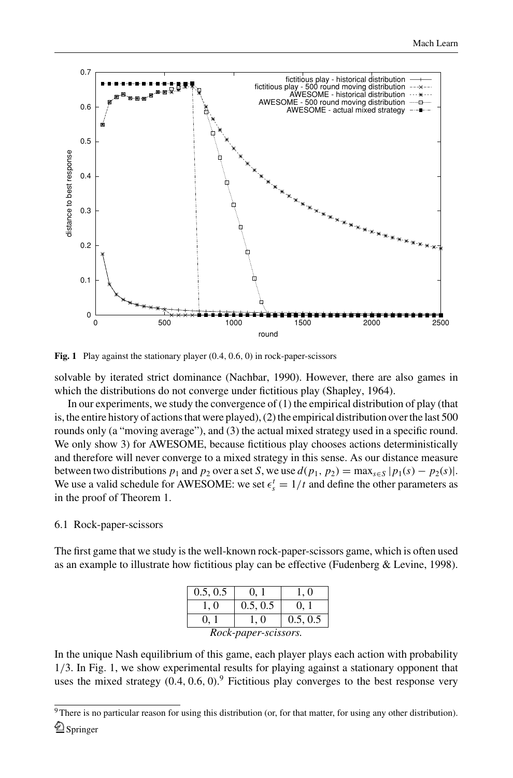

**Fig. 1** Play against the stationary player (0.4, 0.6, 0) in rock-paper-scissors

solvable by iterated strict dominance (Nachbar, 1990). However, there are also games in which the distributions do not converge under fictitious play (Shapley, 1964).

In our experiments, we study the convergence of (1) the empirical distribution of play (that is, the entire history of actions that were played), (2) the empirical distribution over the last 500 rounds only (a "moving average"), and (3) the actual mixed strategy used in a specific round. We only show 3) for AWESOME, because fictitious play chooses actions deterministically and therefore will never converge to a mixed strategy in this sense. As our distance measure between two distributions  $p_1$  and  $p_2$  over a set *S*, we use  $d(p_1, p_2) = \max_{s \in S} |p_1(s) - p_2(s)|$ . We use a valid schedule for AWESOME: we set  $\epsilon_s^t = 1/t$  and define the other parameters as in the proof of Theorem 1.

## 6.1 Rock-paper-scissors

The first game that we study is the well-known rock-paper-scissors game, which is often used as an example to illustrate how fictitious play can be effective (Fudenberg & Levine, 1998).

| 0.5, 0.5             | 0.1      | 1.0      |
|----------------------|----------|----------|
| 1.0                  | 0.5, 0.5 | 0,1      |
| 0.1                  | 1.0      | 0.5, 0.5 |
| Rock-paper-scissors. |          |          |

In the unique Nash equilibrium of this game, each player plays each action with probability 1/3. In Fig. 1, we show experimental results for playing against a stationary opponent that uses the mixed strategy  $(0.4, 0.6, 0)$ .<sup>9</sup> Fictitious play converges to the best response very

 $9$ There is no particular reason for using this distribution (or, for that matter, for using any other distribution).  $\bigcirc$  Springer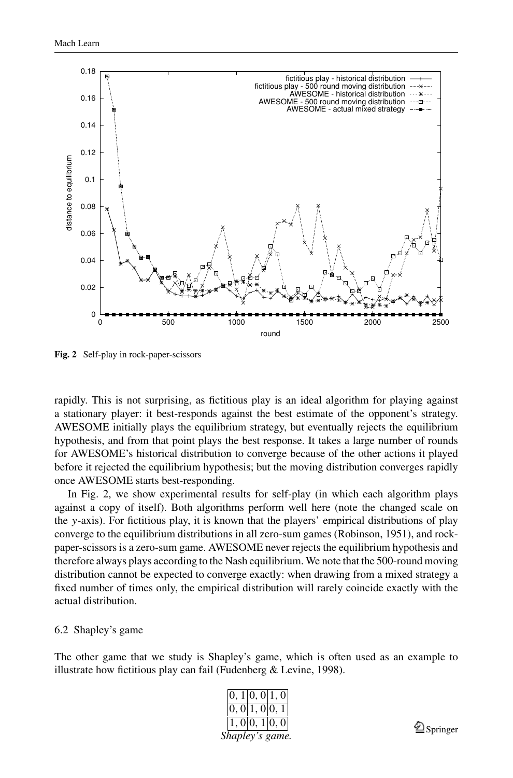

**Fig. 2** Self-play in rock-paper-scissors

rapidly. This is not surprising, as fictitious play is an ideal algorithm for playing against a stationary player: it best-responds against the best estimate of the opponent's strategy. AWESOME initially plays the equilibrium strategy, but eventually rejects the equilibrium hypothesis, and from that point plays the best response. It takes a large number of rounds for AWESOME's historical distribution to converge because of the other actions it played before it rejected the equilibrium hypothesis; but the moving distribution converges rapidly once AWESOME starts best-responding.

In Fig. 2, we show experimental results for self-play (in which each algorithm plays against a copy of itself). Both algorithms perform well here (note the changed scale on the *y*-axis). For fictitious play, it is known that the players' empirical distributions of play converge to the equilibrium distributions in all zero-sum games (Robinson, 1951), and rockpaper-scissors is a zero-sum game. AWESOME never rejects the equilibrium hypothesis and therefore always plays according to the Nash equilibrium. We note that the 500-round moving distribution cannot be expected to converge exactly: when drawing from a mixed strategy a fixed number of times only, the empirical distribution will rarely coincide exactly with the actual distribution.

#### 6.2 Shapley's game

The other game that we study is Shapley's game, which is often used as an example to illustrate how fictitious play can fail (Fudenberg & Levine, 1998).



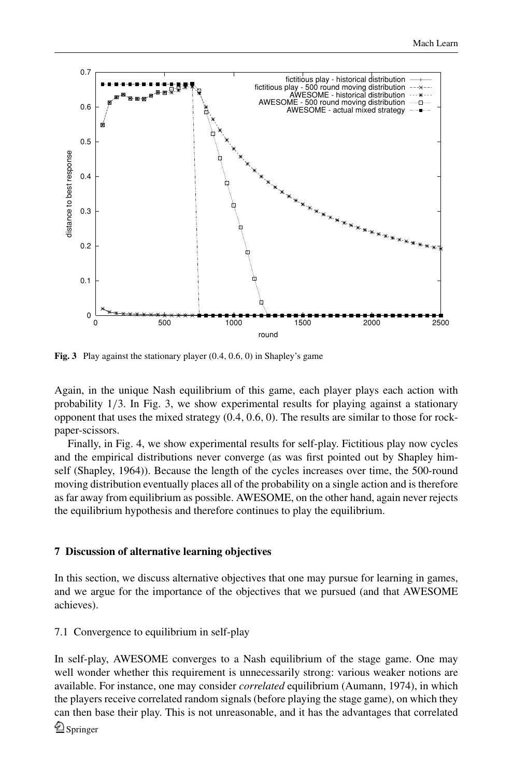

**Fig. 3** Play against the stationary player (0.4, 0.6, 0) in Shapley's game

Again, in the unique Nash equilibrium of this game, each player plays each action with probability 1/3. In Fig. 3, we show experimental results for playing against a stationary opponent that uses the mixed strategy (0.4, 0.6, 0). The results are similar to those for rockpaper-scissors.

Finally, in Fig. 4, we show experimental results for self-play. Fictitious play now cycles and the empirical distributions never converge (as was first pointed out by Shapley himself (Shapley, 1964)). Because the length of the cycles increases over time, the 500-round moving distribution eventually places all of the probability on a single action and is therefore as far away from equilibrium as possible. AWESOME, on the other hand, again never rejects the equilibrium hypothesis and therefore continues to play the equilibrium.

#### **7 Discussion of alternative learning objectives**

In this section, we discuss alternative objectives that one may pursue for learning in games, and we argue for the importance of the objectives that we pursued (and that AWESOME achieves).

#### 7.1 Convergence to equilibrium in self-play

In self-play, AWESOME converges to a Nash equilibrium of the stage game. One may well wonder whether this requirement is unnecessarily strong: various weaker notions are available. For instance, one may consider *correlated* equilibrium (Aumann, 1974), in which the players receive correlated random signals (before playing the stage game), on which they can then base their play. This is not unreasonable, and it has the advantages that correlated  $\mathcal{D}_{\text{Springer}}$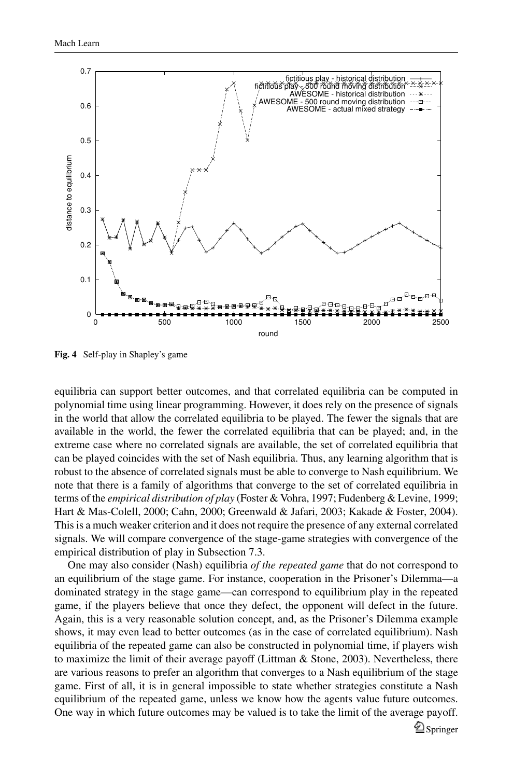

**Fig. 4** Self-play in Shapley's game

equilibria can support better outcomes, and that correlated equilibria can be computed in polynomial time using linear programming. However, it does rely on the presence of signals in the world that allow the correlated equilibria to be played. The fewer the signals that are available in the world, the fewer the correlated equilibria that can be played; and, in the extreme case where no correlated signals are available, the set of correlated equilibria that can be played coincides with the set of Nash equilibria. Thus, any learning algorithm that is robust to the absence of correlated signals must be able to converge to Nash equilibrium. We note that there is a family of algorithms that converge to the set of correlated equilibria in terms of the *empirical distribution of play* (Foster & Vohra, 1997; Fudenberg & Levine, 1999; Hart & Mas-Colell, 2000; Cahn, 2000; Greenwald & Jafari, 2003; Kakade & Foster, 2004). This is a much weaker criterion and it does not require the presence of any external correlated signals. We will compare convergence of the stage-game strategies with convergence of the empirical distribution of play in Subsection 7.3.

One may also consider (Nash) equilibria *of the repeated game* that do not correspond to an equilibrium of the stage game. For instance, cooperation in the Prisoner's Dilemma—a dominated strategy in the stage game—can correspond to equilibrium play in the repeated game, if the players believe that once they defect, the opponent will defect in the future. Again, this is a very reasonable solution concept, and, as the Prisoner's Dilemma example shows, it may even lead to better outcomes (as in the case of correlated equilibrium). Nash equilibria of the repeated game can also be constructed in polynomial time, if players wish to maximize the limit of their average payoff (Littman & Stone, 2003). Nevertheless, there are various reasons to prefer an algorithm that converges to a Nash equilibrium of the stage game. First of all, it is in general impossible to state whether strategies constitute a Nash equilibrium of the repeated game, unless we know how the agents value future outcomes. One way in which future outcomes may be valued is to take the limit of the average payoff.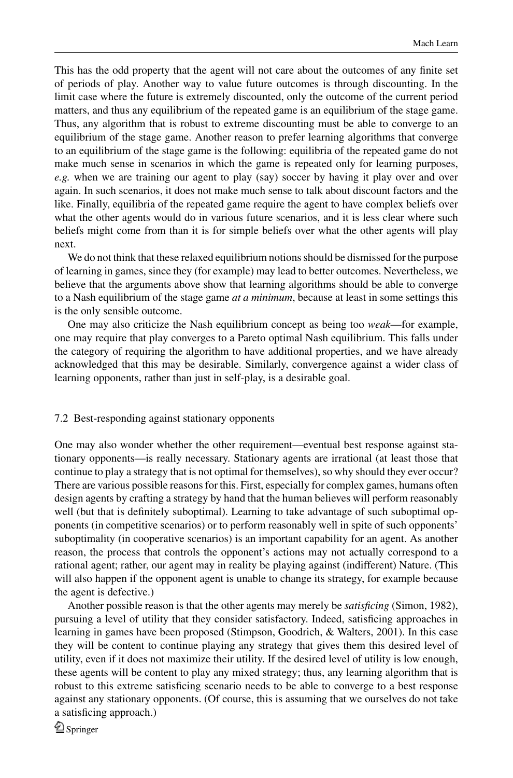This has the odd property that the agent will not care about the outcomes of any finite set of periods of play. Another way to value future outcomes is through discounting. In the limit case where the future is extremely discounted, only the outcome of the current period matters, and thus any equilibrium of the repeated game is an equilibrium of the stage game. Thus, any algorithm that is robust to extreme discounting must be able to converge to an equilibrium of the stage game. Another reason to prefer learning algorithms that converge to an equilibrium of the stage game is the following: equilibria of the repeated game do not make much sense in scenarios in which the game is repeated only for learning purposes, *e.g.* when we are training our agent to play (say) soccer by having it play over and over again. In such scenarios, it does not make much sense to talk about discount factors and the like. Finally, equilibria of the repeated game require the agent to have complex beliefs over what the other agents would do in various future scenarios, and it is less clear where such beliefs might come from than it is for simple beliefs over what the other agents will play next.

We do not think that these relaxed equilibrium notions should be dismissed for the purpose of learning in games, since they (for example) may lead to better outcomes. Nevertheless, we believe that the arguments above show that learning algorithms should be able to converge to a Nash equilibrium of the stage game *at a minimum*, because at least in some settings this is the only sensible outcome.

One may also criticize the Nash equilibrium concept as being too *weak*—for example, one may require that play converges to a Pareto optimal Nash equilibrium. This falls under the category of requiring the algorithm to have additional properties, and we have already acknowledged that this may be desirable. Similarly, convergence against a wider class of learning opponents, rather than just in self-play, is a desirable goal.

### 7.2 Best-responding against stationary opponents

One may also wonder whether the other requirement—eventual best response against stationary opponents—is really necessary. Stationary agents are irrational (at least those that continue to play a strategy that is not optimal for themselves), so why should they ever occur? There are various possible reasons for this. First, especially for complex games, humans often design agents by crafting a strategy by hand that the human believes will perform reasonably well (but that is definitely suboptimal). Learning to take advantage of such suboptimal opponents (in competitive scenarios) or to perform reasonably well in spite of such opponents' suboptimality (in cooperative scenarios) is an important capability for an agent. As another reason, the process that controls the opponent's actions may not actually correspond to a rational agent; rather, our agent may in reality be playing against (indifferent) Nature. (This will also happen if the opponent agent is unable to change its strategy, for example because the agent is defective.)

Another possible reason is that the other agents may merely be *satisficing* (Simon, 1982), pursuing a level of utility that they consider satisfactory. Indeed, satisficing approaches in learning in games have been proposed (Stimpson, Goodrich, & Walters, 2001). In this case they will be content to continue playing any strategy that gives them this desired level of utility, even if it does not maximize their utility. If the desired level of utility is low enough, these agents will be content to play any mixed strategy; thus, any learning algorithm that is robust to this extreme satisficing scenario needs to be able to converge to a best response against any stationary opponents. (Of course, this is assuming that we ourselves do not take a satisficing approach.)

 $\bigcirc$  Springer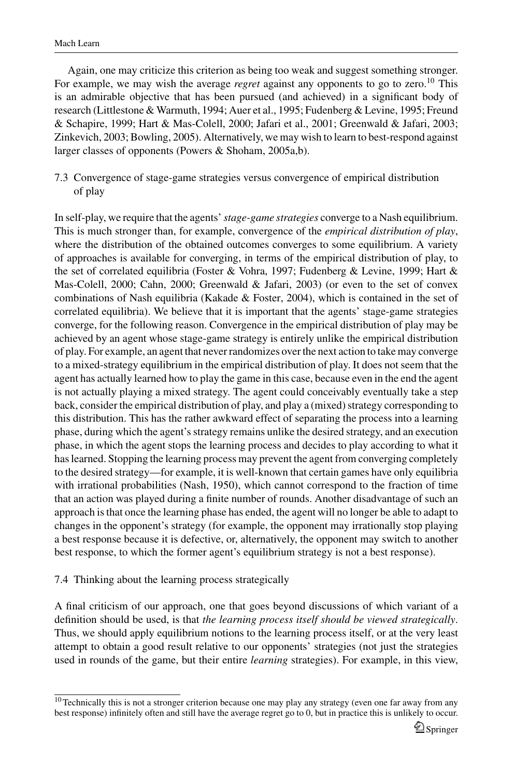Again, one may criticize this criterion as being too weak and suggest something stronger. For example, we may wish the average *regret* against any opponents to go to zero.<sup>10</sup> This is an admirable objective that has been pursued (and achieved) in a significant body of research (Littlestone & Warmuth, 1994; Auer et al., 1995; Fudenberg & Levine, 1995; Freund & Schapire, 1999; Hart & Mas-Colell, 2000; Jafari et al., 2001; Greenwald & Jafari, 2003; Zinkevich, 2003; Bowling, 2005). Alternatively, we may wish to learn to best-respond against larger classes of opponents (Powers & Shoham, 2005a,b).

7.3 Convergence of stage-game strategies versus convergence of empirical distribution of play

In self-play, we require that the agents'*stage-game strategies* converge to a Nash equilibrium. This is much stronger than, for example, convergence of the *empirical distribution of play*, where the distribution of the obtained outcomes converges to some equilibrium. A variety of approaches is available for converging, in terms of the empirical distribution of play, to the set of correlated equilibria (Foster & Vohra, 1997; Fudenberg & Levine, 1999; Hart & Mas-Colell, 2000; Cahn, 2000; Greenwald & Jafari, 2003) (or even to the set of convex combinations of Nash equilibria (Kakade & Foster, 2004), which is contained in the set of correlated equilibria). We believe that it is important that the agents' stage-game strategies converge, for the following reason. Convergence in the empirical distribution of play may be achieved by an agent whose stage-game strategy is entirely unlike the empirical distribution of play. For example, an agent that never randomizes over the next action to take may converge to a mixed-strategy equilibrium in the empirical distribution of play. It does not seem that the agent has actually learned how to play the game in this case, because even in the end the agent is not actually playing a mixed strategy. The agent could conceivably eventually take a step back, consider the empirical distribution of play, and play a (mixed) strategy corresponding to this distribution. This has the rather awkward effect of separating the process into a learning phase, during which the agent's strategy remains unlike the desired strategy, and an execution phase, in which the agent stops the learning process and decides to play according to what it has learned. Stopping the learning process may prevent the agent from converging completely to the desired strategy—for example, it is well-known that certain games have only equilibria with irrational probabilities (Nash, 1950), which cannot correspond to the fraction of time that an action was played during a finite number of rounds. Another disadvantage of such an approach is that once the learning phase has ended, the agent will no longer be able to adapt to changes in the opponent's strategy (for example, the opponent may irrationally stop playing a best response because it is defective, or, alternatively, the opponent may switch to another best response, to which the former agent's equilibrium strategy is not a best response).

7.4 Thinking about the learning process strategically

A final criticism of our approach, one that goes beyond discussions of which variant of a definition should be used, is that *the learning process itself should be viewed strategically*. Thus, we should apply equilibrium notions to the learning process itself, or at the very least attempt to obtain a good result relative to our opponents' strategies (not just the strategies used in rounds of the game, but their entire *learning* strategies). For example, in this view,

<sup>&</sup>lt;sup>10</sup>Technically this is not a stronger criterion because one may play any strategy (even one far away from any best response) infinitely often and still have the average regret go to 0, but in practice this is unlikely to occur.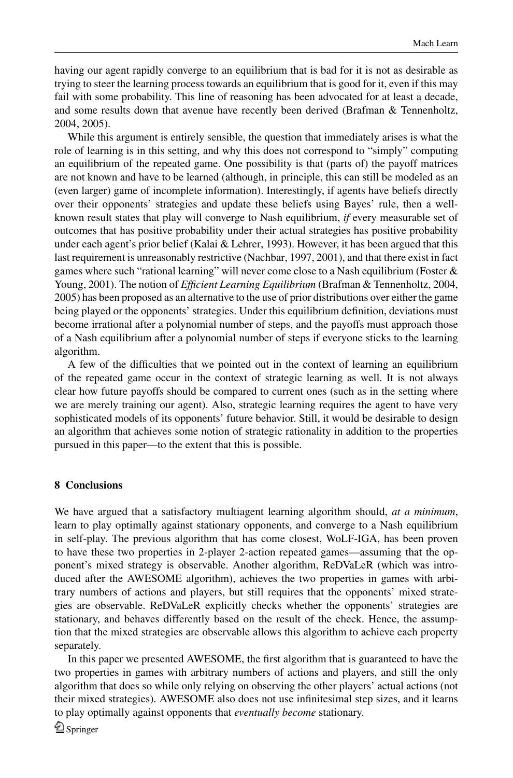having our agent rapidly converge to an equilibrium that is bad for it is not as desirable as trying to steer the learning process towards an equilibrium that is good for it, even if this may fail with some probability. This line of reasoning has been advocated for at least a decade, and some results down that avenue have recently been derived (Brafman & Tennenholtz, 2004, 2005).

While this argument is entirely sensible, the question that immediately arises is what the role of learning is in this setting, and why this does not correspond to "simply" computing an equilibrium of the repeated game. One possibility is that (parts of) the payoff matrices are not known and have to be learned (although, in principle, this can still be modeled as an (even larger) game of incomplete information). Interestingly, if agents have beliefs directly over their opponents' strategies and update these beliefs using Bayes' rule, then a wellknown result states that play will converge to Nash equilibrium, *if* every measurable set of outcomes that has positive probability under their actual strategies has positive probability under each agent's prior belief (Kalai & Lehrer, 1993). However, it has been argued that this last requirement is unreasonably restrictive (Nachbar, 1997, 2001), and that there exist in fact games where such "rational learning" will never come close to a Nash equilibrium (Foster & Young, 2001). The notion of *Efficient Learning Equilibrium* (Brafman & Tennenholtz, 2004, 2005) has been proposed as an alternative to the use of prior distributions over either the game being played or the opponents' strategies. Under this equilibrium definition, deviations must become irrational after a polynomial number of steps, and the payoffs must approach those of a Nash equilibrium after a polynomial number of steps if everyone sticks to the learning algorithm.

A few of the difficulties that we pointed out in the context of learning an equilibrium of the repeated game occur in the context of strategic learning as well. It is not always clear how future payoffs should be compared to current ones (such as in the setting where we are merely training our agent). Also, strategic learning requires the agent to have very sophisticated models of its opponents' future behavior. Still, it would be desirable to design an algorithm that achieves some notion of strategic rationality in addition to the properties pursued in this paper—to the extent that this is possible.

# **8 Conclusions**

We have argued that a satisfactory multiagent learning algorithm should, *at a minimum*, learn to play optimally against stationary opponents, and converge to a Nash equilibrium in self-play. The previous algorithm that has come closest, WoLF-IGA, has been proven to have these two properties in 2-player 2-action repeated games—assuming that the opponent's mixed strategy is observable. Another algorithm, ReDVaLeR (which was introduced after the AWESOME algorithm), achieves the two properties in games with arbitrary numbers of actions and players, but still requires that the opponents' mixed strategies are observable. ReDVaLeR explicitly checks whether the opponents' strategies are stationary, and behaves differently based on the result of the check. Hence, the assumption that the mixed strategies are observable allows this algorithm to achieve each property separately.

In this paper we presented AWESOME, the first algorithm that is guaranteed to have the two properties in games with arbitrary numbers of actions and players, and still the only algorithm that does so while only relying on observing the other players' actual actions (not their mixed strategies). AWESOME also does not use infinitesimal step sizes, and it learns to play optimally against opponents that *eventually become* stationary.

 $@$ Springer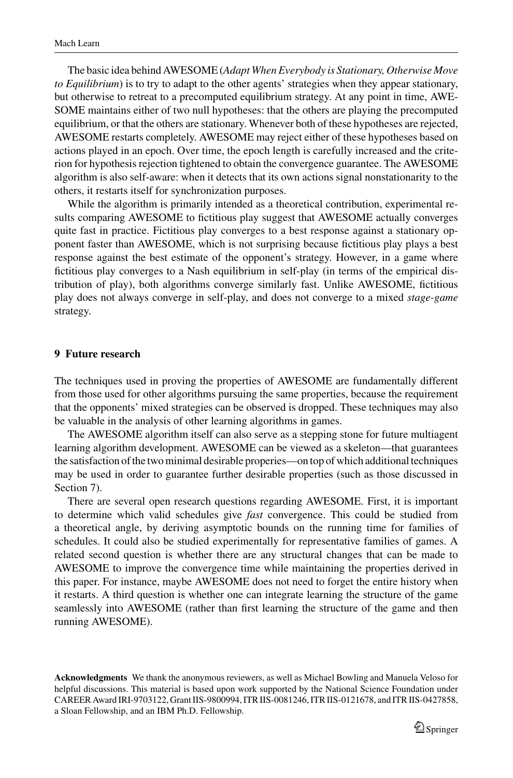The basic idea behind AWESOME (*Adapt When Everybody is Stationary, Otherwise Move to Equilibrium*) is to try to adapt to the other agents' strategies when they appear stationary, but otherwise to retreat to a precomputed equilibrium strategy. At any point in time, AWE-SOME maintains either of two null hypotheses: that the others are playing the precomputed equilibrium, or that the others are stationary. Whenever both of these hypotheses are rejected, AWESOME restarts completely. AWESOME may reject either of these hypotheses based on actions played in an epoch. Over time, the epoch length is carefully increased and the criterion for hypothesis rejection tightened to obtain the convergence guarantee. The AWESOME algorithm is also self-aware: when it detects that its own actions signal nonstationarity to the others, it restarts itself for synchronization purposes.

While the algorithm is primarily intended as a theoretical contribution, experimental results comparing AWESOME to fictitious play suggest that AWESOME actually converges quite fast in practice. Fictitious play converges to a best response against a stationary opponent faster than AWESOME, which is not surprising because fictitious play plays a best response against the best estimate of the opponent's strategy. However, in a game where fictitious play converges to a Nash equilibrium in self-play (in terms of the empirical distribution of play), both algorithms converge similarly fast. Unlike AWESOME, fictitious play does not always converge in self-play, and does not converge to a mixed *stage-game* strategy.

#### **9 Future research**

The techniques used in proving the properties of AWESOME are fundamentally different from those used for other algorithms pursuing the same properties, because the requirement that the opponents' mixed strategies can be observed is dropped. These techniques may also be valuable in the analysis of other learning algorithms in games.

The AWESOME algorithm itself can also serve as a stepping stone for future multiagent learning algorithm development. AWESOME can be viewed as a skeleton—that guarantees the satisfaction of the two minimal desirable properies—on top of which additional techniques may be used in order to guarantee further desirable properties (such as those discussed in Section 7).

There are several open research questions regarding AWESOME. First, it is important to determine which valid schedules give *fast* convergence. This could be studied from a theoretical angle, by deriving asymptotic bounds on the running time for families of schedules. It could also be studied experimentally for representative families of games. A related second question is whether there are any structural changes that can be made to AWESOME to improve the convergence time while maintaining the properties derived in this paper. For instance, maybe AWESOME does not need to forget the entire history when it restarts. A third question is whether one can integrate learning the structure of the game seamlessly into AWESOME (rather than first learning the structure of the game and then running AWESOME).

**Acknowledgments** We thank the anonymous reviewers, as well as Michael Bowling and Manuela Veloso for helpful discussions. This material is based upon work supported by the National Science Foundation under CAREER Award IRI-9703122, Grant IIS-9800994, ITR IIS-0081246, ITR IIS-0121678, and ITR IIS-0427858, a Sloan Fellowship, and an IBM Ph.D. Fellowship.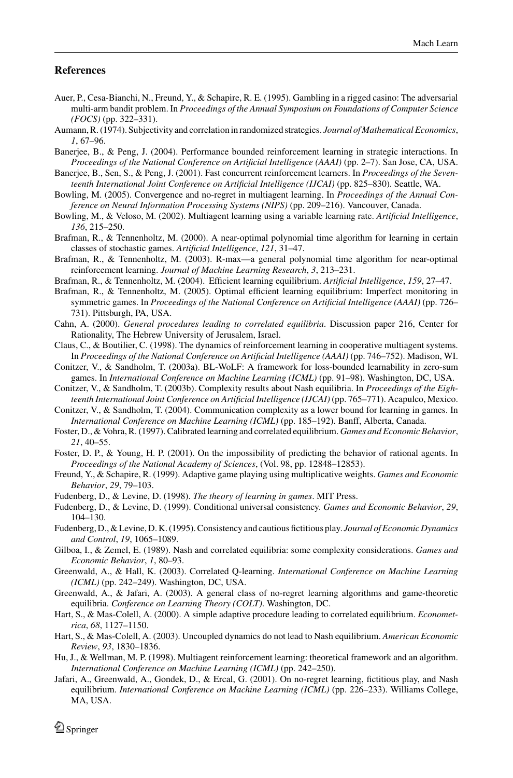#### **References**

- Auer, P., Cesa-Bianchi, N., Freund, Y., & Schapire, R. E. (1995). Gambling in a rigged casino: The adversarial multi-arm bandit problem. In *Proceedings of the Annual Symposium on Foundations of Computer Science (FOCS)* (pp. 322–331).
- Aumann, R. (1974). Subjectivity and correlation in randomized strategies. *Journal of Mathematical Economics*, *1*, 67–96.
- Banerjee, B., & Peng, J. (2004). Performance bounded reinforcement learning in strategic interactions. In *Proceedings of the National Conference on Artificial Intelligence (AAAI)* (pp. 2–7). San Jose, CA, USA.
- Banerjee, B., Sen, S., & Peng, J. (2001). Fast concurrent reinforcement learners. In *Proceedings of the Seventeenth International Joint Conference on Artificial Intelligence (IJCAI)* (pp. 825–830). Seattle, WA.
- Bowling, M. (2005). Convergence and no-regret in multiagent learning. In *Proceedings of the Annual Conference on Neural Information Processing Systems (NIPS)* (pp. 209–216). Vancouver, Canada.
- Bowling, M., & Veloso, M. (2002). Multiagent learning using a variable learning rate. *Artificial Intelligence*, *136*, 215–250.
- Brafman, R., & Tennenholtz, M. (2000). A near-optimal polynomial time algorithm for learning in certain classes of stochastic games. *Artificial Intelligence*, *121*, 31–47.
- Brafman, R., & Tennenholtz, M. (2003). R-max—a general polynomial time algorithm for near-optimal reinforcement learning. *Journal of Machine Learning Research*, *3*, 213–231.
- Brafman, R., & Tennenholtz, M. (2004). Efficient learning equilibrium. *Artificial Intelligence*, *159*, 27–47.
- Brafman, R., & Tennenholtz, M. (2005). Optimal efficient learning equilibrium: Imperfect monitoring in symmetric games. In *Proceedings of the National Conference on Artificial Intelligence (AAAI)* (pp. 726– 731). Pittsburgh, PA, USA.
- Cahn, A. (2000). *General procedures leading to correlated equilibria*. Discussion paper 216, Center for Rationality, The Hebrew University of Jerusalem, Israel.
- Claus, C., & Boutilier, C. (1998). The dynamics of reinforcement learning in cooperative multiagent systems. In *Proceedings of the National Conference on Artificial Intelligence (AAAI)* (pp. 746–752). Madison, WI.
- Conitzer, V., & Sandholm, T. (2003a). BL-WoLF: A framework for loss-bounded learnability in zero-sum games. In *International Conference on Machine Learning (ICML)* (pp. 91–98). Washington, DC, USA.
- Conitzer, V., & Sandholm, T. (2003b). Complexity results about Nash equilibria. In *Proceedings of the Eighteenth International Joint Conference on Artificial Intelligence (IJCAI)* (pp. 765–771). Acapulco, Mexico.
- Conitzer, V., & Sandholm, T. (2004). Communication complexity as a lower bound for learning in games. In *International Conference on Machine Learning (ICML)* (pp. 185–192). Banff, Alberta, Canada.
- Foster, D., & Vohra, R. (1997). Calibrated learning and correlated equilibrium. *Games and Economic Behavior*, *21*, 40–55.
- Foster, D. P., & Young, H. P. (2001). On the impossibility of predicting the behavior of rational agents. In *Proceedings of the National Academy of Sciences*, (Vol. 98, pp. 12848–12853).
- Freund, Y., & Schapire, R. (1999). Adaptive game playing using multiplicative weights. *Games and Economic Behavior*, *29*, 79–103.
- Fudenberg, D., & Levine, D. (1998). *The theory of learning in games*. MIT Press.
- Fudenberg, D., & Levine, D. (1999). Conditional universal consistency. *Games and Economic Behavior*, *29*, 104–130.
- Fudenberg, D., & Levine, D. K. (1995). Consistency and cautious fictitious play. *Journal of Economic Dynamics and Control*, *19*, 1065–1089.
- Gilboa, I., & Zemel, E. (1989). Nash and correlated equilibria: some complexity considerations. *Games and Economic Behavior*, *1*, 80–93.
- Greenwald, A., & Hall, K. (2003). Correlated Q-learning. *International Conference on Machine Learning (ICML)* (pp. 242–249). Washington, DC, USA.
- Greenwald, A., & Jafari, A. (2003). A general class of no-regret learning algorithms and game-theoretic equilibria. *Conference on Learning Theory (COLT)*. Washington, DC.
- Hart, S., & Mas-Colell, A. (2000). A simple adaptive procedure leading to correlated equilibrium. *Econometrica*, *68*, 1127–1150.
- Hart, S., & Mas-Colell, A. (2003). Uncoupled dynamics do not lead to Nash equilibrium. *American Economic Review*, *93*, 1830–1836.
- Hu, J., & Wellman, M. P. (1998). Multiagent reinforcement learning: theoretical framework and an algorithm. *International Conference on Machine Learning (ICML)* (pp. 242–250).
- Jafari, A., Greenwald, A., Gondek, D., & Ercal, G. (2001). On no-regret learning, fictitious play, and Nash equilibrium. *International Conference on Machine Learning (ICML)* (pp. 226–233). Williams College, MA, USA.